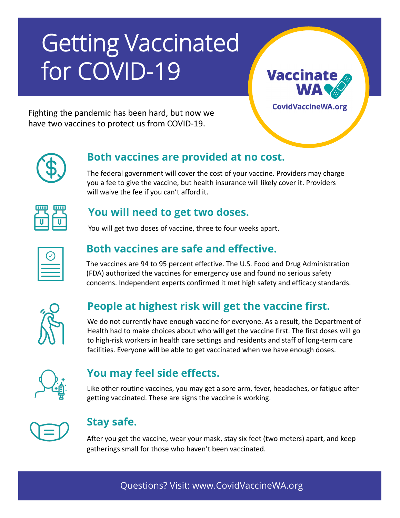# Getting Vaccinated for COVID-19

**Vaccinate** 

**CovidVaccineWA.org** 

Fighting the pandemic has been hard, but now we have two vaccines to protect us from COVID-19.

## **Both vaccines are provided at no cost.**

The federal government will cover the cost of your vaccine. Providers may charge you a fee to give the vaccine, but health insurance will likely cover it. Providers will waive the fee if you can't afford it.



## **You will need to get two doses.**

You will get two doses of vaccine, three to four weeks apart.

# **Both vaccines are safe and effective.**

The vaccines are 94 to 95 percent effective. The U.S. Food and Drug Administration (FDA) authorized the vaccines for emergency use and found no serious safety concerns. Independent experts confirmed it met high safety and efficacy standards.



# **People at highest risk will get the vaccine first.**

We do not currently have enough vaccine for everyone. As a result, the Department of Health had to make choices about who will get the vaccine first. The first doses will go to high-risk workers in health care settings and residents and staff of long-term care facilities. Everyone will be able to get vaccinated when we have enough doses.



# **You may feel side effects.**

Like other routine vaccines, you may get a sore arm, fever, headaches, or fatigue after getting vaccinated. These are signs the vaccine is working.



# **Stay safe.**

After you get the vaccine, wear your mask, stay six feet (two meters) apart, and keep gatherings small for those who haven't been vaccinated.